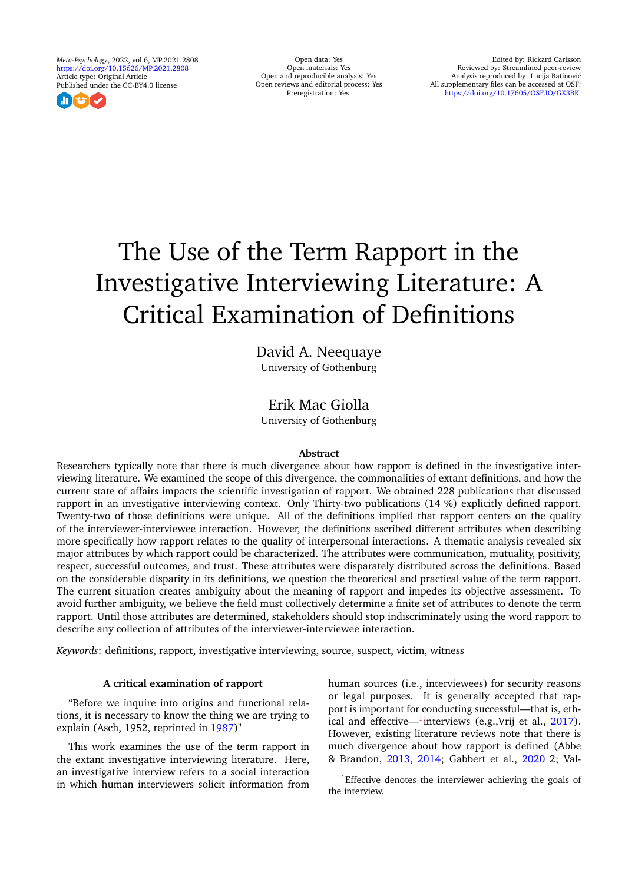*Meta-Psychology*, 2022, vol 6, MP.2021.2808 <https://doi.org/10.15626/MP.2021.2808> Article type: Original Article Published under the CC-BY4.0 license



Open data: Yes Open materials: Yes Open and reproducible analysis: Yes Open reviews and editorial process: Yes Preregistration: Yes

# The Use of the Term Rapport in the Investigative Interviewing Literature: A Critical Examination of Definitions

David A. Neequaye University of Gothenburg

# Erik Mac Giolla

University of Gothenburg

# **Abstract**

Researchers typically note that there is much divergence about how rapport is defined in the investigative interviewing literature. We examined the scope of this divergence, the commonalities of extant definitions, and how the current state of affairs impacts the scientific investigation of rapport. We obtained 228 publications that discussed rapport in an investigative interviewing context. Only Thirty-two publications (14 %) explicitly defined rapport. Twenty-two of those definitions were unique. All of the definitions implied that rapport centers on the quality of the interviewer-interviewee interaction. However, the definitions ascribed different attributes when describing more specifically how rapport relates to the quality of interpersonal interactions. A thematic analysis revealed six major attributes by which rapport could be characterized. The attributes were communication, mutuality, positivity, respect, successful outcomes, and trust. These attributes were disparately distributed across the definitions. Based on the considerable disparity in its definitions, we question the theoretical and practical value of the term rapport. The current situation creates ambiguity about the meaning of rapport and impedes its objective assessment. To avoid further ambiguity, we believe the field must collectively determine a finite set of attributes to denote the term rapport. Until those attributes are determined, stakeholders should stop indiscriminately using the word rapport to describe any collection of attributes of the interviewer-interviewee interaction.

*Keywords*: definitions, rapport, investigative interviewing, source, suspect, victim, witness

# **A critical examination of rapport**

"Before we inquire into origins and functional relations, it is necessary to know the thing we are trying to explain (Asch, 1952, reprinted in [1987\)](#page-11-0)"

This work examines the use of the term rapport in the extant investigative interviewing literature. Here, an investigative interview refers to a social interaction in which human interviewers solicit information from human sources (i.e., interviewees) for security reasons or legal purposes. It is generally accepted that rapport is important for conducting successful—that is, eth-ical and effective—<sup>[1](#page-0-0)</sup>interviews (e.g.,Vrij et al., [2017\)](#page-14-0). However, existing literature reviews note that there is much divergence about how rapport is defined (Abbe & Brandon, [2013,](#page-10-0) [2014;](#page-11-1) Gabbert et al., [2020](#page-12-0) 2; Val-

<span id="page-0-0"></span><sup>&</sup>lt;sup>1</sup>Effective denotes the interviewer achieving the goals of the interview.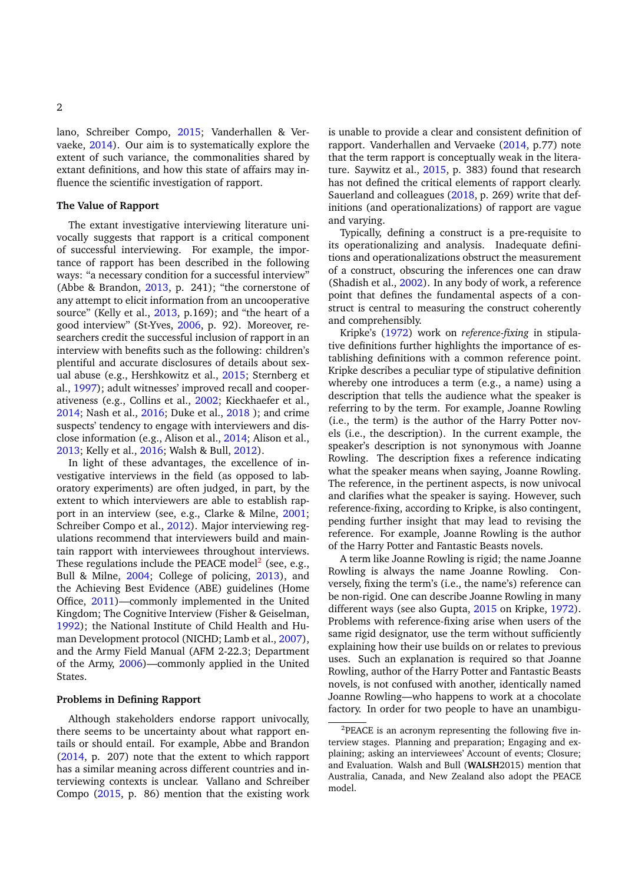lano, Schreiber Compo, [2015;](#page-13-0) Vanderhallen & Vervaeke, [2014\)](#page-14-1). Our aim is to systematically explore the extent of such variance, the commonalities shared by extant definitions, and how this state of affairs may influence the scientific investigation of rapport.

## **The Value of Rapport**

The extant investigative interviewing literature univocally suggests that rapport is a critical component of successful interviewing. For example, the importance of rapport has been described in the following ways: "a necessary condition for a successful interview" (Abbe & Brandon, [2013,](#page-10-0) p. 241); "the cornerstone of any attempt to elicit information from an uncooperative source" (Kelly et al., [2013,](#page-12-1) p.169); and "the heart of a good interview" (St-Yves, [2006,](#page-13-1) p. 92). Moreover, researchers credit the successful inclusion of rapport in an interview with benefits such as the following: children's plentiful and accurate disclosures of details about sexual abuse (e.g., Hershkowitz et al., [2015;](#page-12-2) Sternberg et al., [1997\)](#page-13-2); adult witnesses' improved recall and cooperativeness (e.g., Collins et al., [2002;](#page-11-2) Kieckhaefer et al., [2014;](#page-12-3) Nash et al., [2016;](#page-13-3) Duke et al., [2018](#page-12-4) ); and crime suspects' tendency to engage with interviewers and disclose information (e.g., Alison et al., [2014;](#page-11-3) Alison et al., [2013;](#page-11-4) Kelly et al., [2016;](#page-12-5) Walsh & Bull, [2012\)](#page-14-2).

In light of these advantages, the excellence of investigative interviews in the field (as opposed to laboratory experiments) are often judged, in part, by the extent to which interviewers are able to establish rapport in an interview (see, e.g., Clarke & Milne, [2001;](#page-11-5) Schreiber Compo et al., [2012\)](#page-13-4). Major interviewing regulations recommend that interviewers build and maintain rapport with interviewees throughout interviews. These regulations include the PEACE model<sup>[2](#page-1-0)</sup> (see, e.g., Bull & Milne, [2004;](#page-11-6) College of policing, [2013\)](#page-11-7), and the Achieving Best Evidence (ABE) guidelines (Home Office, [2011\)](#page-13-5)—commonly implemented in the United Kingdom; The Cognitive Interview (Fisher & Geiselman, [1992\)](#page-12-6); the National Institute of Child Health and Human Development protocol (NICHD; Lamb et al., [2007\)](#page-13-6), and the Army Field Manual (AFM 2-22.3; Department of the Army, [2006\)](#page-13-7)—commonly applied in the United States.

#### **Problems in Defining Rapport**

Although stakeholders endorse rapport univocally, there seems to be uncertainty about what rapport entails or should entail. For example, Abbe and Brandon [\(2014,](#page-11-1) p. 207) note that the extent to which rapport has a similar meaning across different countries and interviewing contexts is unclear. Vallano and Schreiber Compo [\(2015,](#page-13-8) p. 86) mention that the existing work

is unable to provide a clear and consistent definition of rapport. Vanderhallen and Vervaeke [\(2014,](#page-14-1) p.77) note that the term rapport is conceptually weak in the literature. Saywitz et al., [2015,](#page-13-9) p. 383) found that research has not defined the critical elements of rapport clearly. Sauerland and colleagues [\(2018,](#page-13-10) p. 269) write that definitions (and operationalizations) of rapport are vague and varying.

Typically, defining a construct is a pre-requisite to its operationalizing and analysis. Inadequate definitions and operationalizations obstruct the measurement of a construct, obscuring the inferences one can draw (Shadish et al., [2002\)](#page-14-3). In any body of work, a reference point that defines the fundamental aspects of a construct is central to measuring the construct coherently and comprehensibly.

Kripke's [\(1972\)](#page-13-11) work on *reference-fixing* in stipulative definitions further highlights the importance of establishing definitions with a common reference point. Kripke describes a peculiar type of stipulative definition whereby one introduces a term (e.g., a name) using a description that tells the audience what the speaker is referring to by the term. For example, Joanne Rowling (i.e., the term) is the author of the Harry Potter novels (i.e., the description). In the current example, the speaker's description is not synonymous with Joanne Rowling. The description fixes a reference indicating what the speaker means when saying, Joanne Rowling. The reference, in the pertinent aspects, is now univocal and clarifies what the speaker is saying. However, such reference-fixing, according to Kripke, is also contingent, pending further insight that may lead to revising the reference. For example, Joanne Rowling is the author of the Harry Potter and Fantastic Beasts novels.

A term like Joanne Rowling is rigid; the name Joanne Rowling is always the name Joanne Rowling. Conversely, fixing the term's (i.e., the name's) reference can be non-rigid. One can describe Joanne Rowling in many different ways (see also Gupta, [2015](#page-12-7) on Kripke, [1972\)](#page-13-11). Problems with reference-fixing arise when users of the same rigid designator, use the term without sufficiently explaining how their use builds on or relates to previous uses. Such an explanation is required so that Joanne Rowling, author of the Harry Potter and Fantastic Beasts novels, is not confused with another, identically named Joanne Rowling—who happens to work at a chocolate factory. In order for two people to have an unambigu-

<span id="page-1-0"></span> ${}^{2}$ PEACE is an acronym representing the following five interview stages. Planning and preparation; Engaging and explaining; asking an interviewees' Account of events; Closure; and Evaluation. Walsh and Bull (**WALSH**2015) mention that Australia, Canada, and New Zealand also adopt the PEACE model.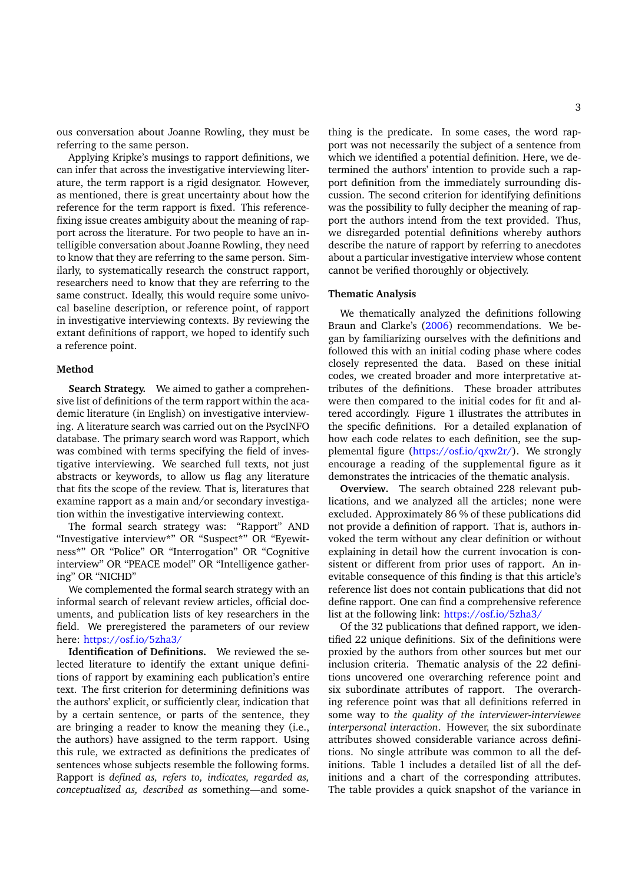ous conversation about Joanne Rowling, they must be referring to the same person.

Applying Kripke's musings to rapport definitions, we can infer that across the investigative interviewing literature, the term rapport is a rigid designator. However, as mentioned, there is great uncertainty about how the reference for the term rapport is fixed. This referencefixing issue creates ambiguity about the meaning of rapport across the literature. For two people to have an intelligible conversation about Joanne Rowling, they need to know that they are referring to the same person. Similarly, to systematically research the construct rapport, researchers need to know that they are referring to the same construct. Ideally, this would require some univocal baseline description, or reference point, of rapport in investigative interviewing contexts. By reviewing the extant definitions of rapport, we hoped to identify such a reference point.

#### **Method**

**Search Strategy.** We aimed to gather a comprehensive list of definitions of the term rapport within the academic literature (in English) on investigative interviewing. A literature search was carried out on the PsycINFO database. The primary search word was Rapport, which was combined with terms specifying the field of investigative interviewing. We searched full texts, not just abstracts or keywords, to allow us flag any literature that fits the scope of the review. That is, literatures that examine rapport as a main and/or secondary investigation within the investigative interviewing context.

The formal search strategy was: "Rapport" AND "Investigative interview\*" OR "Suspect\*" OR "Eyewitness\*" OR "Police" OR "Interrogation" OR "Cognitive interview" OR "PEACE model" OR "Intelligence gathering" OR "NICHD"

We complemented the formal search strategy with an informal search of relevant review articles, official documents, and publication lists of key researchers in the field. We preregistered the parameters of our review here: <https://osf.io/5zha3/>

**Identification of Definitions.** We reviewed the selected literature to identify the extant unique definitions of rapport by examining each publication's entire text. The first criterion for determining definitions was the authors' explicit, or sufficiently clear, indication that by a certain sentence, or parts of the sentence, they are bringing a reader to know the meaning they (i.e., the authors) have assigned to the term rapport. Using this rule, we extracted as definitions the predicates of sentences whose subjects resemble the following forms. Rapport is *defined as, refers to, indicates, regarded as, conceptualized as, described as* something—and some-

thing is the predicate. In some cases, the word rapport was not necessarily the subject of a sentence from which we identified a potential definition. Here, we determined the authors' intention to provide such a rapport definition from the immediately surrounding discussion. The second criterion for identifying definitions was the possibility to fully decipher the meaning of rapport the authors intend from the text provided. Thus, we disregarded potential definitions whereby authors describe the nature of rapport by referring to anecdotes about a particular investigative interview whose content cannot be verified thoroughly or objectively.

# **Thematic Analysis**

We thematically analyzed the definitions following Braun and Clarke's [\(2006\)](#page-11-8) recommendations. We began by familiarizing ourselves with the definitions and followed this with an initial coding phase where codes closely represented the data. Based on these initial codes, we created broader and more interpretative attributes of the definitions. These broader attributes were then compared to the initial codes for fit and altered accordingly. Figure 1 illustrates the attributes in the specific definitions. For a detailed explanation of how each code relates to each definition, see the supplemental figure [\(https://osf.io/qxw2r/\)](https://osf.io/qxw2r/). We strongly encourage a reading of the supplemental figure as it demonstrates the intricacies of the thematic analysis.

**Overview.** The search obtained 228 relevant publications, and we analyzed all the articles; none were excluded. Approximately 86 % of these publications did not provide a definition of rapport. That is, authors invoked the term without any clear definition or without explaining in detail how the current invocation is consistent or different from prior uses of rapport. An inevitable consequence of this finding is that this article's reference list does not contain publications that did not define rapport. One can find a comprehensive reference list at the following link: <https://osf.io/5zha3/>

Of the 32 publications that defined rapport, we identified 22 unique definitions. Six of the definitions were proxied by the authors from other sources but met our inclusion criteria. Thematic analysis of the 22 definitions uncovered one overarching reference point and six subordinate attributes of rapport. The overarching reference point was that all definitions referred in some way to *the quality of the interviewer-interviewee interpersonal interaction*. However, the six subordinate attributes showed considerable variance across definitions. No single attribute was common to all the definitions. Table 1 includes a detailed list of all the definitions and a chart of the corresponding attributes. The table provides a quick snapshot of the variance in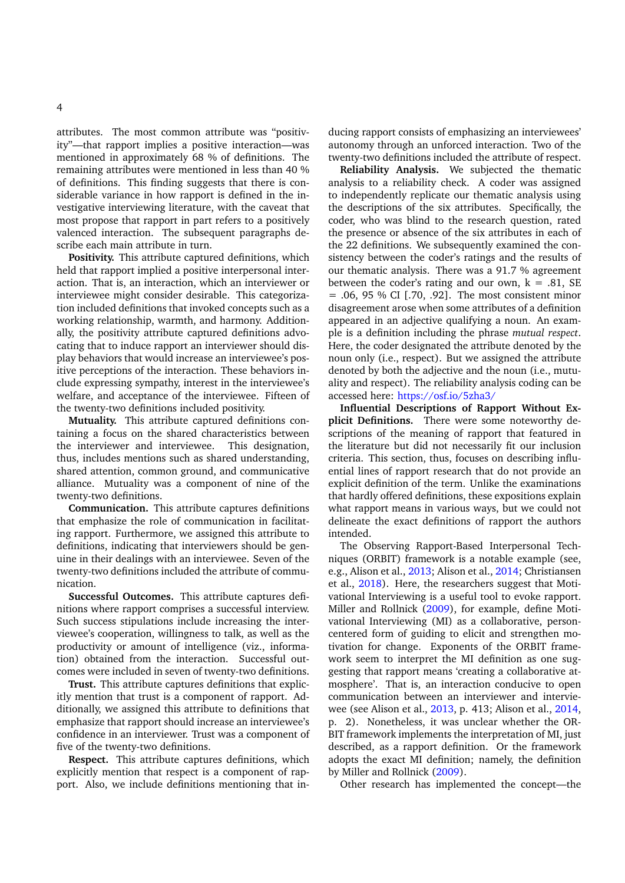attributes. The most common attribute was "positivity"—that rapport implies a positive interaction—was mentioned in approximately 68 % of definitions. The remaining attributes were mentioned in less than 40 % of definitions. This finding suggests that there is considerable variance in how rapport is defined in the investigative interviewing literature, with the caveat that most propose that rapport in part refers to a positively valenced interaction. The subsequent paragraphs describe each main attribute in turn.

**Positivity.** This attribute captured definitions, which held that rapport implied a positive interpersonal interaction. That is, an interaction, which an interviewer or interviewee might consider desirable. This categorization included definitions that invoked concepts such as a working relationship, warmth, and harmony. Additionally, the positivity attribute captured definitions advocating that to induce rapport an interviewer should display behaviors that would increase an interviewee's positive perceptions of the interaction. These behaviors include expressing sympathy, interest in the interviewee's welfare, and acceptance of the interviewee. Fifteen of the twenty-two definitions included positivity.

**Mutuality.** This attribute captured definitions containing a focus on the shared characteristics between the interviewer and interviewee. This designation, thus, includes mentions such as shared understanding, shared attention, common ground, and communicative alliance. Mutuality was a component of nine of the twenty-two definitions.

**Communication.** This attribute captures definitions that emphasize the role of communication in facilitating rapport. Furthermore, we assigned this attribute to definitions, indicating that interviewers should be genuine in their dealings with an interviewee. Seven of the twenty-two definitions included the attribute of communication.

**Successful Outcomes.** This attribute captures definitions where rapport comprises a successful interview. Such success stipulations include increasing the interviewee's cooperation, willingness to talk, as well as the productivity or amount of intelligence (viz., information) obtained from the interaction. Successful outcomes were included in seven of twenty-two definitions.

**Trust.** This attribute captures definitions that explicitly mention that trust is a component of rapport. Additionally, we assigned this attribute to definitions that emphasize that rapport should increase an interviewee's confidence in an interviewer. Trust was a component of five of the twenty-two definitions.

**Respect.** This attribute captures definitions, which explicitly mention that respect is a component of rapport. Also, we include definitions mentioning that inducing rapport consists of emphasizing an interviewees' autonomy through an unforced interaction. Two of the twenty-two definitions included the attribute of respect.

**Reliability Analysis.** We subjected the thematic analysis to a reliability check. A coder was assigned to independently replicate our thematic analysis using the descriptions of the six attributes. Specifically, the coder, who was blind to the research question, rated the presence or absence of the six attributes in each of the 22 definitions. We subsequently examined the consistency between the coder's ratings and the results of our thematic analysis. There was a 91.7 % agreement between the coder's rating and our own,  $k = .81$ , SE  $= .06, 95 % CI$  [.70, .92]. The most consistent minor disagreement arose when some attributes of a definition appeared in an adjective qualifying a noun. An example is a definition including the phrase *mutual respect*. Here, the coder designated the attribute denoted by the noun only (i.e., respect). But we assigned the attribute denoted by both the adjective and the noun (i.e., mutuality and respect). The reliability analysis coding can be accessed here: <https://osf.io/5zha3/>

**Influential Descriptions of Rapport Without Explicit Definitions.** There were some noteworthy descriptions of the meaning of rapport that featured in the literature but did not necessarily fit our inclusion criteria. This section, thus, focuses on describing influential lines of rapport research that do not provide an explicit definition of the term. Unlike the examinations that hardly offered definitions, these expositions explain what rapport means in various ways, but we could not delineate the exact definitions of rapport the authors intended.

The Observing Rapport-Based Interpersonal Techniques (ORBIT) framework is a notable example (see, e.g., Alison et al., [2013;](#page-11-4) Alison et al., [2014;](#page-11-3) Christiansen et al., [2018\)](#page-11-9). Here, the researchers suggest that Motivational Interviewing is a useful tool to evoke rapport. Miller and Rollnick [\(2009\)](#page-13-12), for example, define Motivational Interviewing (MI) as a collaborative, personcentered form of guiding to elicit and strengthen motivation for change. Exponents of the ORBIT framework seem to interpret the MI definition as one suggesting that rapport means 'creating a collaborative atmosphere'. That is, an interaction conducive to open communication between an interviewer and interviewee (see Alison et al., [2013,](#page-11-4) p. 413; Alison et al., [2014,](#page-11-3) p. 2). Nonetheless, it was unclear whether the OR-BIT framework implements the interpretation of MI, just described, as a rapport definition. Or the framework adopts the exact MI definition; namely, the definition by Miller and Rollnick [\(2009\)](#page-13-12).

Other research has implemented the concept—the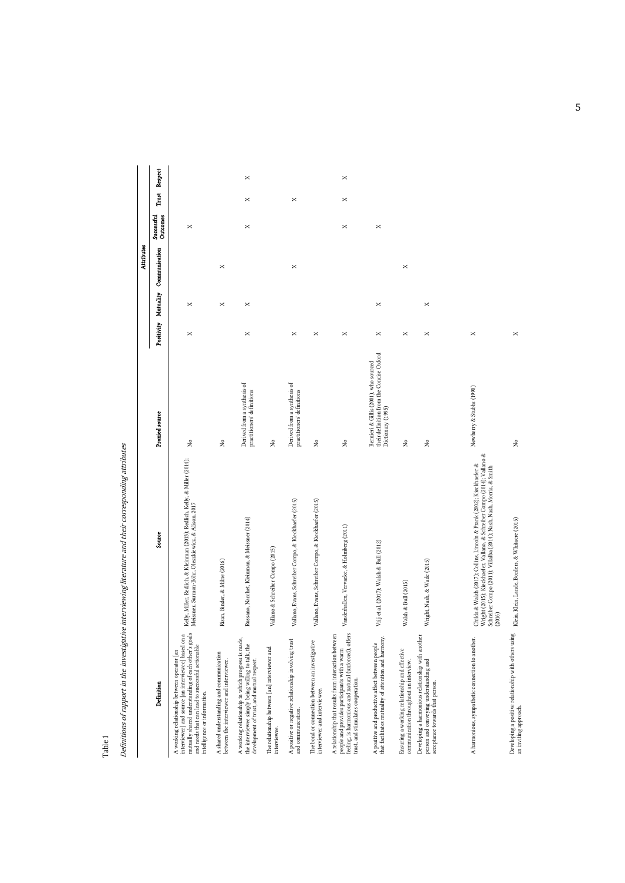Definitions of rapport in the investigative interviewing literature and their corresponding attributes Definitions of rapport in the investigative interviewing literature and their corresponding attributes

Table 1

 $\overline{\phantom{a}}$ 

|                                                                                                                                                                                                                                               |                                                                                                                                                                                                                                     |                                                                                                        |                      |          | <b>Attributes</b> |                        |          |          |
|-----------------------------------------------------------------------------------------------------------------------------------------------------------------------------------------------------------------------------------------------|-------------------------------------------------------------------------------------------------------------------------------------------------------------------------------------------------------------------------------------|--------------------------------------------------------------------------------------------------------|----------------------|----------|-------------------|------------------------|----------|----------|
| Definition                                                                                                                                                                                                                                    | Source                                                                                                                                                                                                                              | Proxied source                                                                                         | Positivity Mutuality |          | Communication     | Outcomes<br>Successful | Trust    | Respect  |
| mutually shared understanding of each other's goals<br>interviewer] and source [an interviewee] based on a<br>and needs that can lead to successful actionable<br>A working relationship between operator [an<br>intelligence or information. | Kelly, Miller, Redlich, & Kleinman (2013); Redlich, Kelly, & Miller (2014);<br>Meissner, Surmon-Böhr, Oleszkiewicz, & Alison, 2017                                                                                                  | $\hat{z}$                                                                                              | ×                    | ×        |                   | ×                      |          |          |
| A shared understanding and communication<br>between the interviewer and interviewee.                                                                                                                                                          | Risan, Binder, & Milne (2016)                                                                                                                                                                                                       | ż                                                                                                      |                      | ×        | ×                 |                        |          |          |
| A working relationship in which progress is made,<br>the interviewee simply being willing to talk, the<br>development of trust, and mutual respect.                                                                                           | Russano, Narchet, Kleinman, & Meissner (2014)                                                                                                                                                                                       | Derived from a synthesis of<br>practitioners' definitions                                              | ×                    | ×        |                   | $\times$               | $\times$ | $\times$ |
| The relationship between [an] interviewer and<br>interviewee.                                                                                                                                                                                 | Vallano & Schreiber Compo (2015)                                                                                                                                                                                                    | ż                                                                                                      |                      |          |                   |                        |          |          |
| A positive or negative relationship involving trust<br>and communication.                                                                                                                                                                     | Vallano, Evans, Schreiber Compo, & Kieckhaefer (2015)                                                                                                                                                                               | Derived from a synthesis of<br>practitioners' definitions                                              | ×                    |          | ×                 |                        | ×        |          |
| The bond or connection between an investigative<br>interviewer and interviewee.                                                                                                                                                               | Vallano, Evans, Schreiber Compo, & Kieckhaefer (2015)                                                                                                                                                                               | $\tilde{z}$                                                                                            | ×                    |          |                   |                        |          |          |
| feeling, is harmonious and natural (unforced), offers<br>A relationship that results from interaction between<br>people and provides participants with a warm<br>trust, and stimulates cooperation.                                           | Vanderhallen, Vervaeke, & Holmberg (2011)                                                                                                                                                                                           | å,                                                                                                     | ×                    |          |                   | ×                      | ×        | ×        |
| that facilitates mutuality of attention and harmony<br>A positive and productive affect between people                                                                                                                                        | Vrij et al. (2017); Walsh & Bull (2012)                                                                                                                                                                                             | their definition from the Concise Oxford<br>Bernieri & Gillis (2001), who sourced<br>Dictionary (1995) | ×                    | ×        |                   | ×                      |          |          |
| Ensuring a working relationship and effective<br>communication throughout an interview.                                                                                                                                                       | Walsh & Bull (2015)                                                                                                                                                                                                                 | ż                                                                                                      | ×                    |          | ×                 |                        |          |          |
| Developing a harmonious relationship with another<br>person and conveying understanding and<br>acceptance towards that person.                                                                                                                | Wright, Nash, & Wade (2015)                                                                                                                                                                                                         | ż                                                                                                      | $\times$             | $\times$ |                   |                        |          |          |
|                                                                                                                                                                                                                                               |                                                                                                                                                                                                                                     |                                                                                                        |                      |          |                   |                        |          |          |
| A harmonious, sympathetic connection to another.                                                                                                                                                                                              | Wright (2015); Kieckhaefer, Vallano, & Schreiber Compo (2014); Vallano &<br>Childs & Walsh (2017); Collins, Lincoln & Frank (2002); Kieckhaefer &<br>Schreiber Compo (2011); Villalba (2014); Nash, Nash, Morris, & Smith<br>(2016) | Newberry & Stubbs (1990)                                                                               | ×                    |          |                   |                        |          |          |
| Developing a positive relationship with others using<br>an inviting approach.                                                                                                                                                                 | Klein, Klein, Lande, Borders, & Whitacre (2015)                                                                                                                                                                                     | $\hat{z}$                                                                                              | ×                    |          |                   |                        |          |          |

5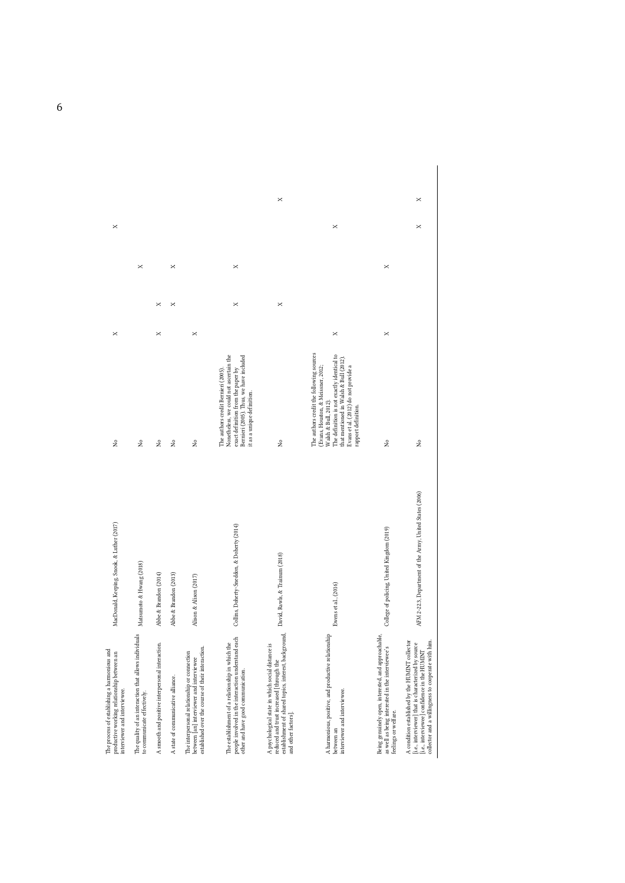| The process of establishing a harmonious and<br>productive working relationship between an<br>interviewer and interviewee                                                                                    | MacDonald, Keeping, Snook, & Luther (2017)               | $\hat{z}$                                                                                                                                                                                                                                                    | × |          | × |   |
|--------------------------------------------------------------------------------------------------------------------------------------------------------------------------------------------------------------|----------------------------------------------------------|--------------------------------------------------------------------------------------------------------------------------------------------------------------------------------------------------------------------------------------------------------------|---|----------|---|---|
| The quality of an interaction that allows individuals<br>to communicate effectively.                                                                                                                         | Matsumoto & Hwang (2018)                                 | $\hat{z}$                                                                                                                                                                                                                                                    |   |          | × |   |
| A smooth and positive interpersonal interaction.                                                                                                                                                             | Abbe & Brandon (2014)                                    | ż                                                                                                                                                                                                                                                            | × | $\times$ |   |   |
| A state of communicative alliance.                                                                                                                                                                           | Abbe & Brandon (2013)                                    | $\hat{z}$                                                                                                                                                                                                                                                    |   | ×        | × |   |
| established over the course of their interaction.<br>The interpersonal relationship or connection<br>between [an] interviewer and interviewee                                                                | Alison & Alison (2017)                                   | $\hat{z}$                                                                                                                                                                                                                                                    | × |          |   |   |
| people involved in the interaction understand each<br>The establishment of a relationship in which the<br>other and have good communication.                                                                 | Collins, Doherty-Sneddon, & Doherty (2014)               | Nonetheless, we could not ascertain the<br>Bernieri (2005). Thus, we have included<br>exact definition from the paper by<br>The authors credit Bernieri (2005).<br>it as a unique definition.                                                                |   | ×        | × |   |
| establishment of shared topics, interest, background,<br>A psychological state in which social distance is<br>reduced and trust increased [through the<br>and other factors].                                | David, Rawls, & Trainum (2018)                           | $\hat{z}$                                                                                                                                                                                                                                                    |   | ×        |   | × |
| A harmonious, positive, and productive relationship<br>interviewer and interviewee.<br>between an                                                                                                            | Ewens et al., (2016)                                     | The authors credit the following sources<br>The definition is not exactly identical to<br>that mentioned in Walsh & Bull (2012)<br>(Evans, Houston, & Meissner, 2012;<br>Evans et al. (2012) do not provide a<br>Walsh & Bull, 2012).<br>rapport definition. | × |          | × |   |
| Being genuinely open, interested, and approachable,<br>as well as being interested in the interviewee's<br>feelings or welfare.                                                                              | College of policing, United Kingdom (2019)               | ż                                                                                                                                                                                                                                                            | × |          | × |   |
| A condition established by the HUMINT collector<br>collector and a willingness to cooperate with him.<br>[i.e., interviewer] that is characterized by source<br>[i.e., interviewee] confidence in the HUMINT | AFM 2-22.3, Department of the Army, United States (2006) | $\hat{z}$                                                                                                                                                                                                                                                    |   |          | × | × |

6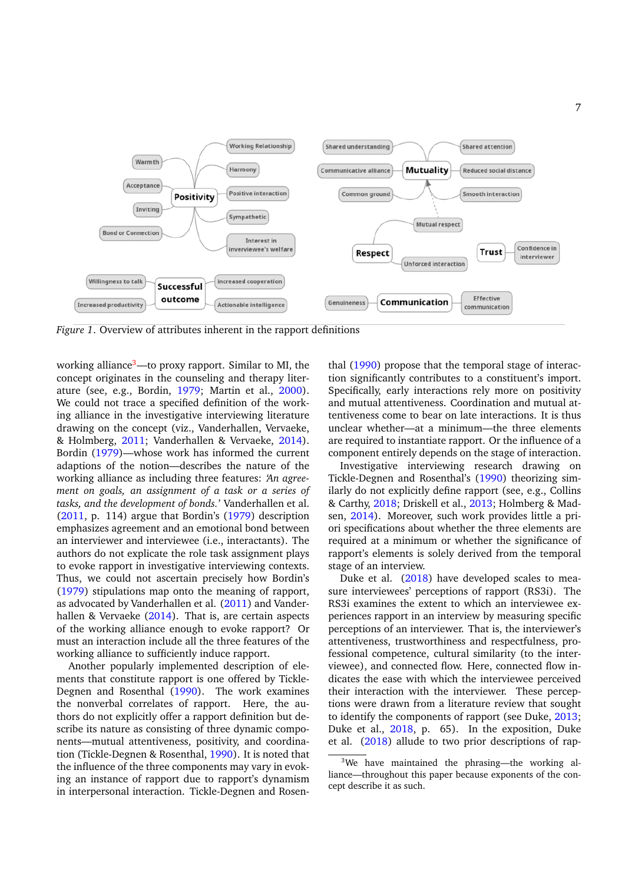

*Figure 1*. Overview of attributes inherent in the rapport definitions

working alliance[3](#page-6-0)—to proxy rapport. Similar to MI, the concept originates in the counseling and therapy literature (see, e.g., Bordin, [1979;](#page-11-10) Martin et al., [2000\)](#page-13-13). We could not trace a specified definition of the working alliance in the investigative interviewing literature drawing on the concept (viz., Vanderhallen, Vervaeke, & Holmberg, [2011;](#page-14-4) Vanderhallen & Vervaeke, [2014\)](#page-14-1). Bordin [\(1979\)](#page-11-10)—whose work has informed the current adaptions of the notion—describes the nature of the working alliance as including three features: *'An agreement on goals, an assignment of a task or a series of tasks, and the development of bonds.'* Vanderhallen et al. [\(2011,](#page-14-4) p. 114) argue that Bordin's [\(1979\)](#page-11-10) description emphasizes agreement and an emotional bond between an interviewer and interviewee (i.e., interactants). The authors do not explicate the role task assignment plays to evoke rapport in investigative interviewing contexts. Thus, we could not ascertain precisely how Bordin's [\(1979\)](#page-11-10) stipulations map onto the meaning of rapport, as advocated by Vanderhallen et al. [\(2011\)](#page-14-4) and Vanderhallen & Vervaeke  $(2014)$ . That is, are certain aspects of the working alliance enough to evoke rapport? Or must an interaction include all the three features of the working alliance to sufficiently induce rapport.

Another popularly implemented description of elements that constitute rapport is one offered by Tickle-Degnen and Rosenthal [\(1990\)](#page-13-14). The work examines the nonverbal correlates of rapport. Here, the authors do not explicitly offer a rapport definition but describe its nature as consisting of three dynamic components—mutual attentiveness, positivity, and coordination (Tickle-Degnen & Rosenthal, [1990\)](#page-13-14). It is noted that the influence of the three components may vary in evoking an instance of rapport due to rapport's dynamism in interpersonal interaction. Tickle-Degnen and Rosen-

thal [\(1990\)](#page-13-14) propose that the temporal stage of interaction significantly contributes to a constituent's import. Specifically, early interactions rely more on positivity and mutual attentiveness. Coordination and mutual attentiveness come to bear on late interactions. It is thus unclear whether—at a minimum—the three elements are required to instantiate rapport. Or the influence of a component entirely depends on the stage of interaction.

Investigative interviewing research drawing on Tickle-Degnen and Rosenthal's [\(1990\)](#page-13-14) theorizing similarly do not explicitly define rapport (see, e.g., Collins & Carthy, [2018;](#page-11-11) Driskell et al., [2013;](#page-12-8) Holmberg & Madsen, [2014\)](#page-12-9). Moreover, such work provides little a priori specifications about whether the three elements are required at a minimum or whether the significance of rapport's elements is solely derived from the temporal stage of an interview.

Duke et al. [\(2018\)](#page-12-4) have developed scales to measure interviewees' perceptions of rapport (RS3i). The RS3i examines the extent to which an interviewee experiences rapport in an interview by measuring specific perceptions of an interviewer. That is, the interviewer's attentiveness, trustworthiness and respectfulness, professional competence, cultural similarity (to the interviewee), and connected flow. Here, connected flow indicates the ease with which the interviewee perceived their interaction with the interviewer. These perceptions were drawn from a literature review that sought to identify the components of rapport (see Duke, [2013;](#page-12-10) Duke et al., [2018,](#page-12-4) p. 65). In the exposition, Duke et al. [\(2018\)](#page-12-4) allude to two prior descriptions of rap-

<span id="page-6-0"></span><sup>&</sup>lt;sup>3</sup>We have maintained the phrasing—the working alliance—throughout this paper because exponents of the concept describe it as such.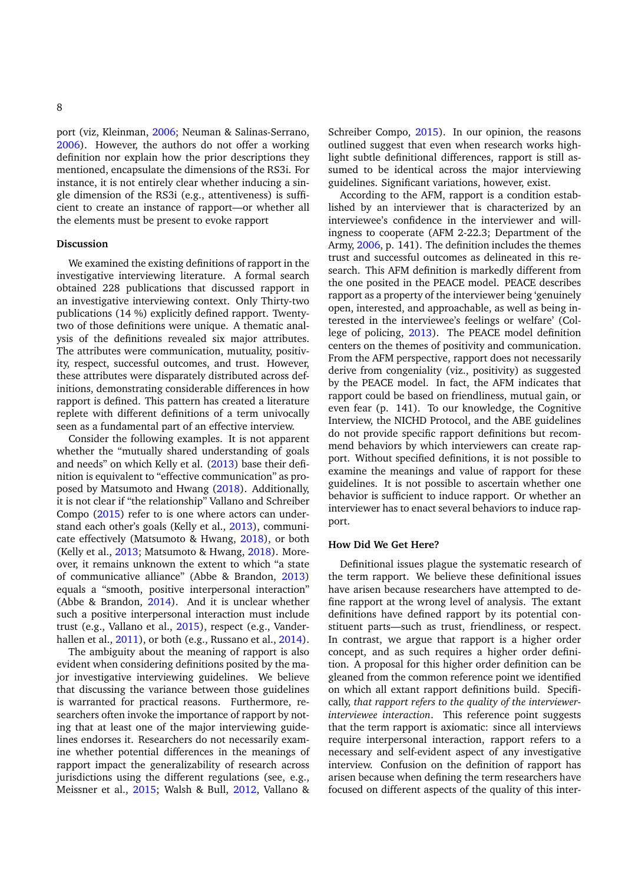port (viz, Kleinman, [2006;](#page-12-11) Neuman & Salinas-Serrano, [2006\)](#page-13-15). However, the authors do not offer a working definition nor explain how the prior descriptions they mentioned, encapsulate the dimensions of the RS3i. For instance, it is not entirely clear whether inducing a single dimension of the RS3i (e.g., attentiveness) is sufficient to create an instance of rapport—or whether all the elements must be present to evoke rapport

#### **Discussion**

We examined the existing definitions of rapport in the investigative interviewing literature. A formal search obtained 228 publications that discussed rapport in an investigative interviewing context. Only Thirty-two publications (14 %) explicitly defined rapport. Twentytwo of those definitions were unique. A thematic analysis of the definitions revealed six major attributes. The attributes were communication, mutuality, positivity, respect, successful outcomes, and trust. However, these attributes were disparately distributed across definitions, demonstrating considerable differences in how rapport is defined. This pattern has created a literature replete with different definitions of a term univocally seen as a fundamental part of an effective interview.

Consider the following examples. It is not apparent whether the "mutually shared understanding of goals and needs" on which Kelly et al. [\(2013\)](#page-12-1) base their definition is equivalent to "effective communication" as proposed by Matsumoto and Hwang [\(2018\)](#page-13-16). Additionally, it is not clear if "the relationship" Vallano and Schreiber Compo [\(2015\)](#page-13-8) refer to is one where actors can understand each other's goals (Kelly et al., [2013\)](#page-12-1), communicate effectively (Matsumoto & Hwang, [2018\)](#page-13-16), or both (Kelly et al., [2013;](#page-12-1) Matsumoto & Hwang, [2018\)](#page-13-16). Moreover, it remains unknown the extent to which "a state of communicative alliance" (Abbe & Brandon, [2013\)](#page-10-0) equals a "smooth, positive interpersonal interaction" (Abbe & Brandon, [2014\)](#page-11-1). And it is unclear whether such a positive interpersonal interaction must include trust (e.g., Vallano et al., [2015\)](#page-13-8), respect (e.g., Vander-hallen et al., [2011\)](#page-14-4), or both (e.g., Russano et al., [2014\)](#page-13-17).

The ambiguity about the meaning of rapport is also evident when considering definitions posited by the major investigative interviewing guidelines. We believe that discussing the variance between those guidelines is warranted for practical reasons. Furthermore, researchers often invoke the importance of rapport by noting that at least one of the major interviewing guidelines endorses it. Researchers do not necessarily examine whether potential differences in the meanings of rapport impact the generalizability of research across jurisdictions using the different regulations (see, e.g., Meissner et al., [2015;](#page-13-18) Walsh & Bull, [2012,](#page-14-2) Vallano &

Schreiber Compo, [2015\)](#page-13-8). In our opinion, the reasons outlined suggest that even when research works highlight subtle definitional differences, rapport is still assumed to be identical across the major interviewing guidelines. Significant variations, however, exist.

According to the AFM, rapport is a condition established by an interviewer that is characterized by an interviewee's confidence in the interviewer and willingness to cooperate (AFM 2-22.3; Department of the Army, [2006,](#page-13-7) p. 141). The definition includes the themes trust and successful outcomes as delineated in this research. This AFM definition is markedly different from the one posited in the PEACE model. PEACE describes rapport as a property of the interviewer being 'genuinely open, interested, and approachable, as well as being interested in the interviewee's feelings or welfare' (College of policing, [2013\)](#page-11-7). The PEACE model definition centers on the themes of positivity and communication. From the AFM perspective, rapport does not necessarily derive from congeniality (viz., positivity) as suggested by the PEACE model. In fact, the AFM indicates that rapport could be based on friendliness, mutual gain, or even fear (p. 141). To our knowledge, the Cognitive Interview, the NICHD Protocol, and the ABE guidelines do not provide specific rapport definitions but recommend behaviors by which interviewers can create rapport. Without specified definitions, it is not possible to examine the meanings and value of rapport for these guidelines. It is not possible to ascertain whether one behavior is sufficient to induce rapport. Or whether an interviewer has to enact several behaviors to induce rapport.

#### **How Did We Get Here?**

Definitional issues plague the systematic research of the term rapport. We believe these definitional issues have arisen because researchers have attempted to define rapport at the wrong level of analysis. The extant definitions have defined rapport by its potential constituent parts—such as trust, friendliness, or respect. In contrast, we argue that rapport is a higher order concept, and as such requires a higher order definition. A proposal for this higher order definition can be gleaned from the common reference point we identified on which all extant rapport definitions build. Specifically, *that rapport refers to the quality of the interviewerinterviewee interaction*. This reference point suggests that the term rapport is axiomatic: since all interviews require interpersonal interaction, rapport refers to a necessary and self-evident aspect of any investigative interview. Confusion on the definition of rapport has arisen because when defining the term researchers have focused on different aspects of the quality of this inter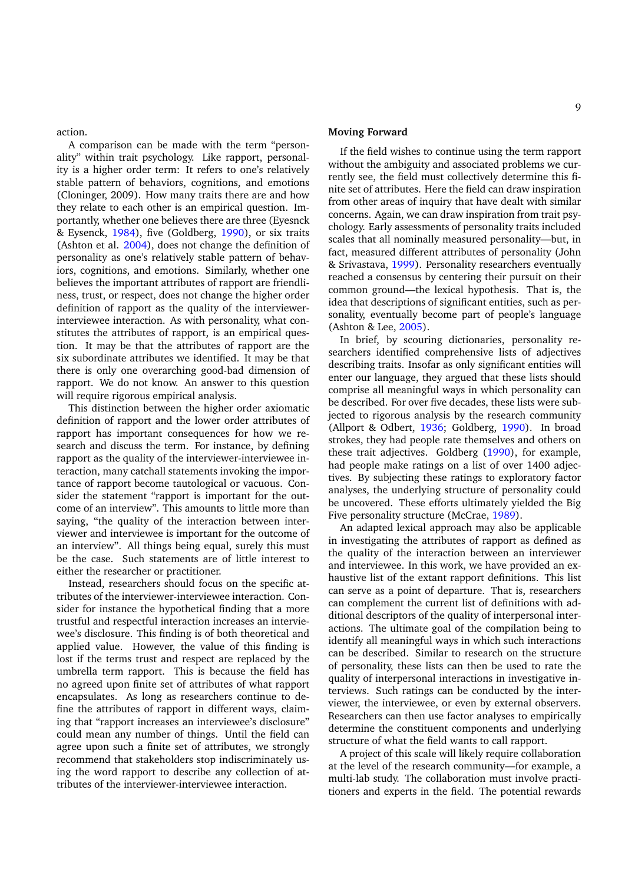action.

A comparison can be made with the term "personality" within trait psychology. Like rapport, personality is a higher order term: It refers to one's relatively stable pattern of behaviors, cognitions, and emotions (Cloninger, 2009). How many traits there are and how they relate to each other is an empirical question. Importantly, whether one believes there are three (Eyesnck & Eysenck, [1984\)](#page-12-12), five (Goldberg, [1990\)](#page-12-13), or six traits (Ashton et al. [2004\)](#page-11-12), does not change the definition of personality as one's relatively stable pattern of behaviors, cognitions, and emotions. Similarly, whether one believes the important attributes of rapport are friendliness, trust, or respect, does not change the higher order definition of rapport as the quality of the interviewerinterviewee interaction. As with personality, what constitutes the attributes of rapport, is an empirical question. It may be that the attributes of rapport are the six subordinate attributes we identified. It may be that there is only one overarching good-bad dimension of rapport. We do not know. An answer to this question will require rigorous empirical analysis.

This distinction between the higher order axiomatic definition of rapport and the lower order attributes of rapport has important consequences for how we research and discuss the term. For instance, by defining rapport as the quality of the interviewer-interviewee interaction, many catchall statements invoking the importance of rapport become tautological or vacuous. Consider the statement "rapport is important for the outcome of an interview". This amounts to little more than saying, "the quality of the interaction between interviewer and interviewee is important for the outcome of an interview". All things being equal, surely this must be the case. Such statements are of little interest to either the researcher or practitioner.

Instead, researchers should focus on the specific attributes of the interviewer-interviewee interaction. Consider for instance the hypothetical finding that a more trustful and respectful interaction increases an interviewee's disclosure. This finding is of both theoretical and applied value. However, the value of this finding is lost if the terms trust and respect are replaced by the umbrella term rapport. This is because the field has no agreed upon finite set of attributes of what rapport encapsulates. As long as researchers continue to define the attributes of rapport in different ways, claiming that "rapport increases an interviewee's disclosure" could mean any number of things. Until the field can agree upon such a finite set of attributes, we strongly recommend that stakeholders stop indiscriminately using the word rapport to describe any collection of attributes of the interviewer-interviewee interaction.

# **Moving Forward**

If the field wishes to continue using the term rapport without the ambiguity and associated problems we currently see, the field must collectively determine this finite set of attributes. Here the field can draw inspiration from other areas of inquiry that have dealt with similar concerns. Again, we can draw inspiration from trait psychology. Early assessments of personality traits included scales that all nominally measured personality—but, in fact, measured different attributes of personality (John & Srivastava, [1999\)](#page-12-14). Personality researchers eventually reached a consensus by centering their pursuit on their common ground—the lexical hypothesis. That is, the idea that descriptions of significant entities, such as personality, eventually become part of people's language (Ashton & Lee, [2005\)](#page-11-13).

In brief, by scouring dictionaries, personality researchers identified comprehensive lists of adjectives describing traits. Insofar as only significant entities will enter our language, they argued that these lists should comprise all meaningful ways in which personality can be described. For over five decades, these lists were subjected to rigorous analysis by the research community (Allport & Odbert, [1936;](#page-11-14) Goldberg, [1990\)](#page-12-13). In broad strokes, they had people rate themselves and others on these trait adjectives. Goldberg [\(1990\)](#page-12-13), for example, had people make ratings on a list of over 1400 adjectives. By subjecting these ratings to exploratory factor analyses, the underlying structure of personality could be uncovered. These efforts ultimately yielded the Big Five personality structure (McCrae, [1989\)](#page-13-19).

An adapted lexical approach may also be applicable in investigating the attributes of rapport as defined as the quality of the interaction between an interviewer and interviewee. In this work, we have provided an exhaustive list of the extant rapport definitions. This list can serve as a point of departure. That is, researchers can complement the current list of definitions with additional descriptors of the quality of interpersonal interactions. The ultimate goal of the compilation being to identify all meaningful ways in which such interactions can be described. Similar to research on the structure of personality, these lists can then be used to rate the quality of interpersonal interactions in investigative interviews. Such ratings can be conducted by the interviewer, the interviewee, or even by external observers. Researchers can then use factor analyses to empirically determine the constituent components and underlying structure of what the field wants to call rapport.

A project of this scale will likely require collaboration at the level of the research community—for example, a multi-lab study. The collaboration must involve practitioners and experts in the field. The potential rewards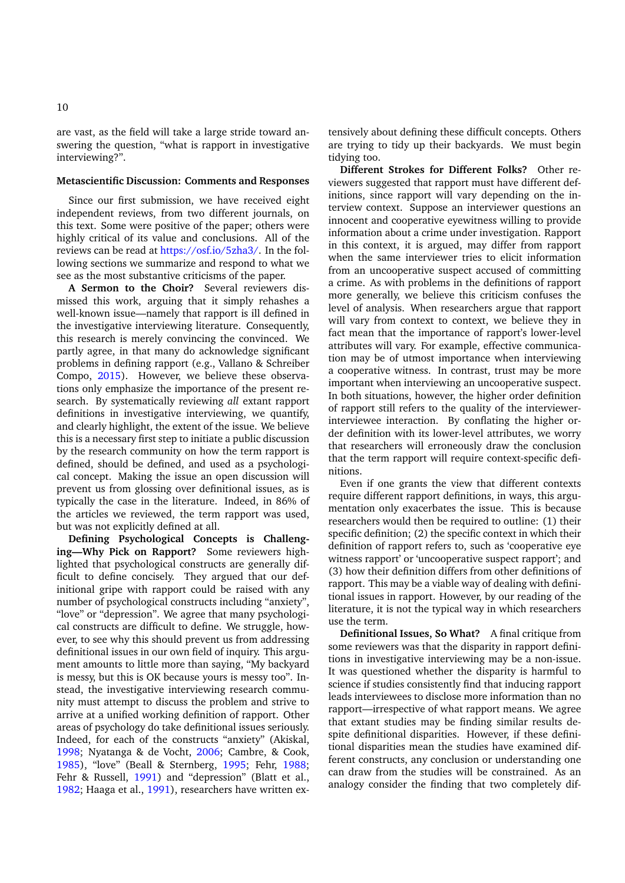are vast, as the field will take a large stride toward answering the question, "what is rapport in investigative interviewing?".

#### **Metascientific Discussion: Comments and Responses**

Since our first submission, we have received eight independent reviews, from two different journals, on this text. Some were positive of the paper; others were highly critical of its value and conclusions. All of the reviews can be read at [https://osf.io/5zha3/.](https://osf.io/5zha3/) In the following sections we summarize and respond to what we see as the most substantive criticisms of the paper.

**A Sermon to the Choir?** Several reviewers dismissed this work, arguing that it simply rehashes a well-known issue—namely that rapport is ill defined in the investigative interviewing literature. Consequently, this research is merely convincing the convinced. We partly agree, in that many do acknowledge significant problems in defining rapport (e.g., Vallano & Schreiber Compo, [2015\)](#page-13-8). However, we believe these observations only emphasize the importance of the present research. By systematically reviewing *all* extant rapport definitions in investigative interviewing, we quantify, and clearly highlight, the extent of the issue. We believe this is a necessary first step to initiate a public discussion by the research community on how the term rapport is defined, should be defined, and used as a psychological concept. Making the issue an open discussion will prevent us from glossing over definitional issues, as is typically the case in the literature. Indeed, in 86% of the articles we reviewed, the term rapport was used, but was not explicitly defined at all.

**Defining Psychological Concepts is Challenging—Why Pick on Rapport?** Some reviewers highlighted that psychological constructs are generally difficult to define concisely. They argued that our definitional gripe with rapport could be raised with any number of psychological constructs including "anxiety", "love" or "depression". We agree that many psychological constructs are difficult to define. We struggle, however, to see why this should prevent us from addressing definitional issues in our own field of inquiry. This argument amounts to little more than saying, "My backyard is messy, but this is OK because yours is messy too". Instead, the investigative interviewing research community must attempt to discuss the problem and strive to arrive at a unified working definition of rapport. Other areas of psychology do take definitional issues seriously. Indeed, for each of the constructs "anxiety" (Akiskal, [1998;](#page-11-15) Nyatanga & de Vocht, [2006;](#page-11-16) Cambre, & Cook, [1985\)](#page-11-17), "love" (Beall & Sternberg, [1995;](#page-11-18) Fehr, [1988;](#page-12-15) Fehr & Russell, [1991\)](#page-12-16) and "depression" (Blatt et al., [1982;](#page-11-19) Haaga et al., [1991\)](#page-12-17), researchers have written ex-

tensively about defining these difficult concepts. Others are trying to tidy up their backyards. We must begin tidying too.

**Different Strokes for Different Folks?** Other reviewers suggested that rapport must have different definitions, since rapport will vary depending on the interview context. Suppose an interviewer questions an innocent and cooperative eyewitness willing to provide information about a crime under investigation. Rapport in this context, it is argued, may differ from rapport when the same interviewer tries to elicit information from an uncooperative suspect accused of committing a crime. As with problems in the definitions of rapport more generally, we believe this criticism confuses the level of analysis. When researchers argue that rapport will vary from context to context, we believe they in fact mean that the importance of rapport's lower-level attributes will vary. For example, effective communication may be of utmost importance when interviewing a cooperative witness. In contrast, trust may be more important when interviewing an uncooperative suspect. In both situations, however, the higher order definition of rapport still refers to the quality of the interviewerinterviewee interaction. By conflating the higher order definition with its lower-level attributes, we worry that researchers will erroneously draw the conclusion that the term rapport will require context-specific definitions.

Even if one grants the view that different contexts require different rapport definitions, in ways, this argumentation only exacerbates the issue. This is because researchers would then be required to outline: (1) their specific definition; (2) the specific context in which their definition of rapport refers to, such as 'cooperative eye witness rapport' or 'uncooperative suspect rapport'; and (3) how their definition differs from other definitions of rapport. This may be a viable way of dealing with definitional issues in rapport. However, by our reading of the literature, it is not the typical way in which researchers use the term.

**Definitional Issues, So What?** A final critique from some reviewers was that the disparity in rapport definitions in investigative interviewing may be a non-issue. It was questioned whether the disparity is harmful to science if studies consistently find that inducing rapport leads interviewees to disclose more information than no rapport—irrespective of what rapport means. We agree that extant studies may be finding similar results despite definitional disparities. However, if these definitional disparities mean the studies have examined different constructs, any conclusion or understanding one can draw from the studies will be constrained. As an analogy consider the finding that two completely dif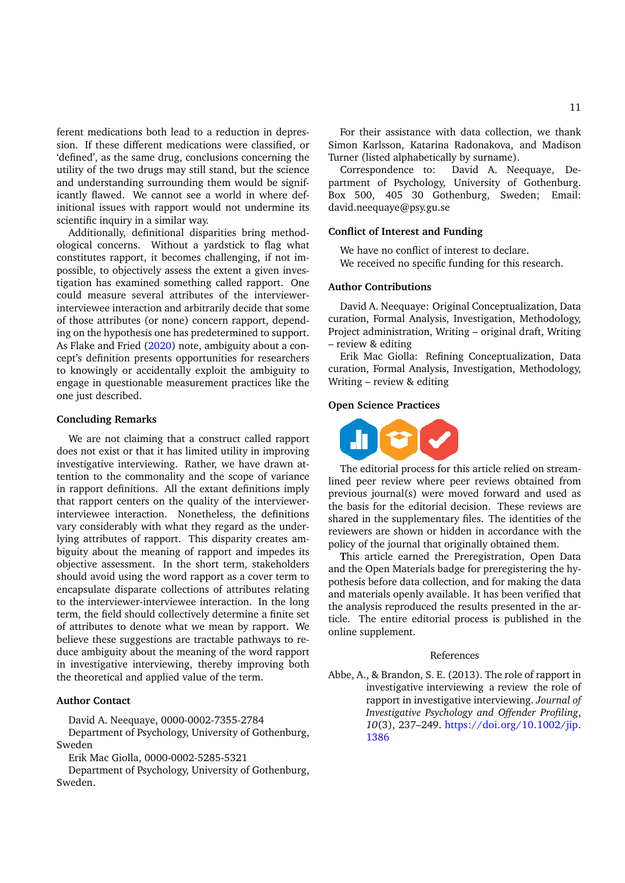ferent medications both lead to a reduction in depression. If these different medications were classified, or 'defined', as the same drug, conclusions concerning the utility of the two drugs may still stand, but the science and understanding surrounding them would be significantly flawed. We cannot see a world in where definitional issues with rapport would not undermine its scientific inquiry in a similar way.

Additionally, definitional disparities bring methodological concerns. Without a yardstick to flag what constitutes rapport, it becomes challenging, if not impossible, to objectively assess the extent a given investigation has examined something called rapport. One could measure several attributes of the interviewerinterviewee interaction and arbitrarily decide that some of those attributes (or none) concern rapport, depending on the hypothesis one has predetermined to support. As Flake and Fried [\(2020\)](#page-12-18) note, ambiguity about a concept's definition presents opportunities for researchers to knowingly or accidentally exploit the ambiguity to engage in questionable measurement practices like the one just described.

## **Concluding Remarks**

We are not claiming that a construct called rapport does not exist or that it has limited utility in improving investigative interviewing. Rather, we have drawn attention to the commonality and the scope of variance in rapport definitions. All the extant definitions imply that rapport centers on the quality of the interviewerinterviewee interaction. Nonetheless, the definitions vary considerably with what they regard as the underlying attributes of rapport. This disparity creates ambiguity about the meaning of rapport and impedes its objective assessment. In the short term, stakeholders should avoid using the word rapport as a cover term to encapsulate disparate collections of attributes relating to the interviewer-interviewee interaction. In the long term, the field should collectively determine a finite set of attributes to denote what we mean by rapport. We believe these suggestions are tractable pathways to reduce ambiguity about the meaning of the word rapport in investigative interviewing, thereby improving both the theoretical and applied value of the term.

# **Author Contact**

David A. Neequaye, 0000-0002-7355-2784

Department of Psychology, University of Gothenburg, Sweden

Erik Mac Giolla, 0000-0002-5285-5321

Department of Psychology, University of Gothenburg, Sweden.

For their assistance with data collection, we thank Simon Karlsson, Katarina Radonakova, and Madison Turner (listed alphabetically by surname).

Correspondence to: David A. Neequaye, Department of Psychology, University of Gothenburg. Box 500, 405 30 Gothenburg, Sweden; Email: david.neequaye@psy.gu.se

#### **Conflict of Interest and Funding**

We have no conflict of interest to declare. We received no specific funding for this research.

#### **Author Contributions**

David A. Neequaye: Original Conceptualization, Data curation, Formal Analysis, Investigation, Methodology, Project administration, Writing – original draft, Writing – review & editing

Erik Mac Giolla: Refining Conceptualization, Data curation, Formal Analysis, Investigation, Methodology, Writing – review & editing

#### **Open Science Practices**



The editorial process for this article relied on streamlined peer review where peer reviews obtained from previous journal(s) were moved forward and used as the basis for the editorial decision. These reviews are shared in the supplementary files. The identities of the reviewers are shown or hidden in accordance with the policy of the journal that originally obtained them.

**T**his article earned the Preregistration, Open Data and the Open Materials badge for preregistering the hypothesis before data collection, and for making the data and materials openly available. It has been verified that the analysis reproduced the results presented in the article. The entire editorial process is published in the online supplement.

#### References

<span id="page-10-0"></span>Abbe, A., & Brandon, S. E. (2013). The role of rapport in investigative interviewing a review the role of rapport in investigative interviewing. *Journal of Investigative Psychology and Offender Profiling*, *10*(3), 237–249. [https://doi.org/10.1002/jip.](https://doi.org/10.1002/jip.1386) [1386](https://doi.org/10.1002/jip.1386)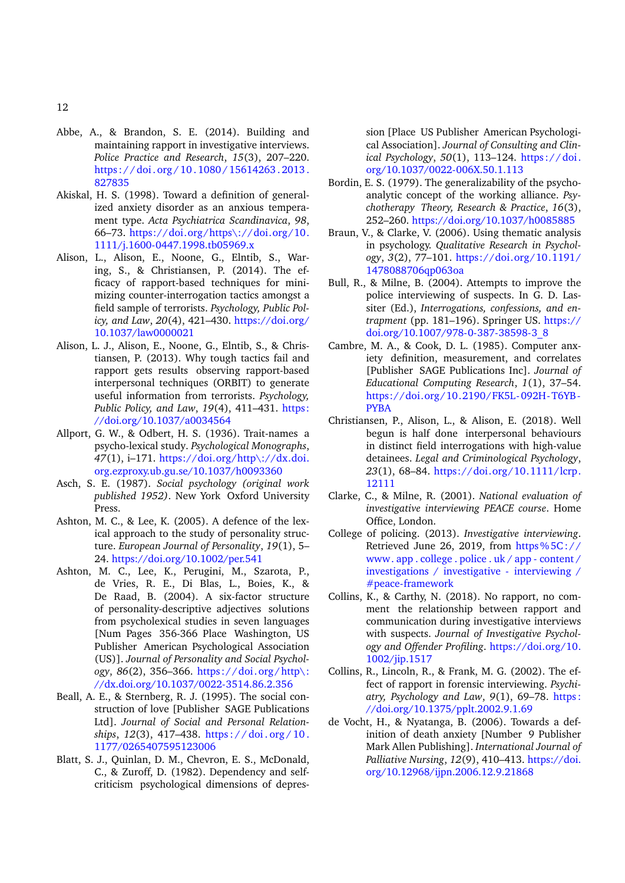- <span id="page-11-1"></span>Abbe, A., & Brandon, S. E. (2014). Building and maintaining rapport in investigative interviews. *Police Practice and Research*, *15*(3), 207–220. https://doi.org/10.1080/15614263.2013. [827835](https://doi.org/10.1080/15614263.2013.827835)
- <span id="page-11-15"></span>Akiskal, H. S. (1998). Toward a definition of generalized anxiety disorder as an anxious temperament type. *Acta Psychiatrica Scandinavica*, *98*, 66–73. [https://doi.org/https\://doi.org/10.](https://doi.org/https\://doi.org/10.1111/j.1600-0447.1998.tb05969.x) [1111/j.1600-0447.1998.tb05969.x](https://doi.org/https\://doi.org/10.1111/j.1600-0447.1998.tb05969.x)
- <span id="page-11-3"></span>Alison, L., Alison, E., Noone, G., Elntib, S., Waring, S., & Christiansen, P. (2014). The efficacy of rapport-based techniques for minimizing counter-interrogation tactics amongst a field sample of terrorists. *Psychology, Public Policy, and Law*, *20*(4), 421–430. [https://doi.org/](https://doi.org/10.1037/law0000021) [10.1037/law0000021](https://doi.org/10.1037/law0000021)
- <span id="page-11-4"></span>Alison, L. J., Alison, E., Noone, G., Elntib, S., & Christiansen, P. (2013). Why tough tactics fail and rapport gets results observing rapport-based interpersonal techniques (ORBIT) to generate useful information from terrorists. *Psychology, Public Policy, and Law*, *19*(4), 411–431. [https:](https://doi.org/10.1037/a0034564) [//doi.org/10.1037/a0034564](https://doi.org/10.1037/a0034564)
- <span id="page-11-14"></span>Allport, G. W., & Odbert, H. S. (1936). Trait-names a psycho-lexical study. *Psychological Monographs*, *47*(1), i–171. [https://doi.org/http\://dx.doi.](https://doi.org/http\://dx.doi.org.ezproxy.ub.gu.se/10.1037/h0093360) [org.ezproxy.ub.gu.se/10.1037/h0093360](https://doi.org/http\://dx.doi.org.ezproxy.ub.gu.se/10.1037/h0093360)
- <span id="page-11-0"></span>Asch, S. E. (1987). *Social psychology (original work published 1952)*. New York Oxford University Press.
- <span id="page-11-13"></span>Ashton, M. C., & Lee, K. (2005). A defence of the lexical approach to the study of personality structure. *European Journal of Personality*, *19*(1), 5– 24. <https://doi.org/10.1002/per.541>
- <span id="page-11-12"></span>Ashton, M. C., Lee, K., Perugini, M., Szarota, P., de Vries, R. E., Di Blas, L., Boies, K., & De Raad, B. (2004). A six-factor structure of personality-descriptive adjectives solutions from psycholexical studies in seven languages [Num Pages 356-366 Place Washington, US Publisher American Psychological Association (US)]. *Journal of Personality and Social Psychology*, *86*(2), 356–366. [https://doi.org/http\:](https://doi.org/http\://dx.doi.org/10.1037/0022-3514.86.2.356) [//dx.doi.org/10.1037/0022-3514.86.2.356](https://doi.org/http\://dx.doi.org/10.1037/0022-3514.86.2.356)
- <span id="page-11-18"></span>Beall, A. E., & Sternberg, R. J. (1995). The social construction of love [Publisher SAGE Publications Ltd]. *Journal of Social and Personal Relationships*, *12*(3), 417–438. [https : / / doi . org / 10 .](https://doi.org/10.1177/0265407595123006) [1177/0265407595123006](https://doi.org/10.1177/0265407595123006)
- <span id="page-11-19"></span>Blatt, S. J., Quinlan, D. M., Chevron, E. S., McDonald, C., & Zuroff, D. (1982). Dependency and selfcriticism psychological dimensions of depres-

sion [Place US Publisher American Psychological Association]. *Journal of Consulting and Clinical Psychology*, *50*(1), 113–124. [https://doi.](https://doi.org/10.1037/0022-006X.50.1.113) [org/10.1037/0022-006X.50.1.113](https://doi.org/10.1037/0022-006X.50.1.113)

- <span id="page-11-10"></span>Bordin, E. S. (1979). The generalizability of the psychoanalytic concept of the working alliance. *Psychotherapy Theory, Research & Practice*, *16*(3), 252–260. <https://doi.org/10.1037/h0085885>
- <span id="page-11-8"></span>Braun, V., & Clarke, V. (2006). Using thematic analysis in psychology. *Qualitative Research in Psychology*, *3*(2), 77–101. [https://doi.org/10.1191/](https://doi.org/10.1191/1478088706qp063oa) [1478088706qp063oa](https://doi.org/10.1191/1478088706qp063oa)
- <span id="page-11-6"></span>Bull, R., & Milne, B. (2004). Attempts to improve the police interviewing of suspects. In G. D. Lassiter (Ed.), *Interrogations, confessions, and entrapment* (pp. 181–196). Springer US. [https://](https://doi.org/10.1007/978-0-387-38598-3_8) [doi.org/10.1007/978-0-387-38598-3\\_8](https://doi.org/10.1007/978-0-387-38598-3_8)
- <span id="page-11-17"></span>Cambre, M. A., & Cook, D. L. (1985). Computer anxiety definition, measurement, and correlates [Publisher SAGE Publications Inc]. *Journal of Educational Computing Research*, *1*(1), 37–54. [https://doi.org/10.2190/FK5L-092H-T6YB-](https://doi.org/10.2190/FK5L-092H-T6YB-PYBA)[PYBA](https://doi.org/10.2190/FK5L-092H-T6YB-PYBA)
- <span id="page-11-9"></span>Christiansen, P., Alison, L., & Alison, E. (2018). Well begun is half done interpersonal behaviours in distinct field interrogations with high-value detainees. *Legal and Criminological Psychology*, *23*(1), 68–84. [https://doi.org/10.1111/lcrp.](https://doi.org/10.1111/lcrp.12111) [12111](https://doi.org/10.1111/lcrp.12111)
- <span id="page-11-5"></span>Clarke, C., & Milne, R. (2001). *National evaluation of investigative interviewing PEACE course*. Home Office, London.
- <span id="page-11-7"></span>College of policing. (2013). *Investigative interviewing*. Retrieved June 26, 2019, from  $\frac{https{6}{5}C!}{/}$ [www. app . college . police . uk / app - content /](https%5C://www.app.college.police.uk/app-content/investigations/investigative-interviewing/#peace-framework) [investigations / investigative - interviewing /](https%5C://www.app.college.police.uk/app-content/investigations/investigative-interviewing/#peace-framework) [#peace-framework](https%5C://www.app.college.police.uk/app-content/investigations/investigative-interviewing/#peace-framework)
- <span id="page-11-11"></span>Collins, K., & Carthy, N. (2018). No rapport, no comment the relationship between rapport and communication during investigative interviews with suspects. *Journal of Investigative Psychology and Offender Profiling*. [https://doi.org/10.](https://doi.org/10.1002/jip.1517) [1002/jip.1517](https://doi.org/10.1002/jip.1517)
- <span id="page-11-2"></span>Collins, R., Lincoln, R., & Frank, M. G. (2002). The effect of rapport in forensic interviewing. *Psychiatry, Psychology and Law*, *9*(1), 69–78. [https :](https://doi.org/10.1375/pplt.2002.9.1.69) [//doi.org/10.1375/pplt.2002.9.1.69](https://doi.org/10.1375/pplt.2002.9.1.69)
- <span id="page-11-16"></span>de Vocht, H., & Nyatanga, B. (2006). Towards a definition of death anxiety [Number 9 Publisher Mark Allen Publishing]. *International Journal of Palliative Nursing*, *12*(9), 410–413. [https://doi.](https://doi.org/10.12968/ijpn.2006.12.9.21868) [org/10.12968/ijpn.2006.12.9.21868](https://doi.org/10.12968/ijpn.2006.12.9.21868)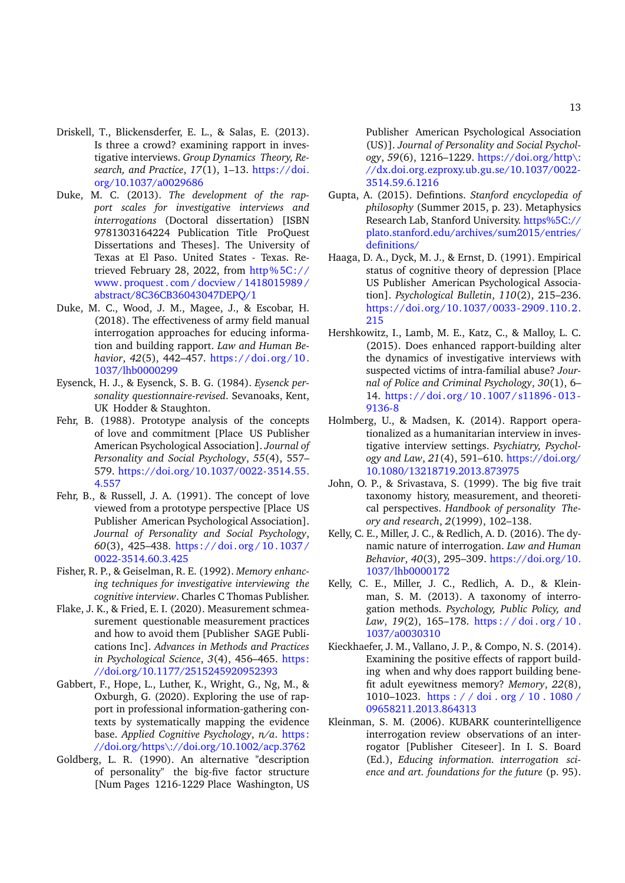- <span id="page-12-8"></span>Driskell, T., Blickensderfer, E. L., & Salas, E. (2013). Is three a crowd? examining rapport in investigative interviews. *Group Dynamics Theory, Research, and Practice*, *17*(1), 1–13. [https://doi.](https://doi.org/10.1037/a0029686) [org/10.1037/a0029686](https://doi.org/10.1037/a0029686)
- <span id="page-12-10"></span>Duke, M. C. (2013). *The development of the rapport scales for investigative interviews and interrogations* (Doctoral dissertation) [ISBN 9781303164224 Publication Title ProQuest Dissertations and Theses]. The University of Texas at El Paso. United States - Texas. Retrieved February 28, 2022, from [http%5C://](http%5C://www.proquest.com/docview/1418015989/abstract/8C36CB36043047DEPQ/1) [www. proquest . com / docview / 1418015989 /](http%5C://www.proquest.com/docview/1418015989/abstract/8C36CB36043047DEPQ/1) [abstract/8C36CB36043047DEPQ/1](http%5C://www.proquest.com/docview/1418015989/abstract/8C36CB36043047DEPQ/1)
- <span id="page-12-4"></span>Duke, M. C., Wood, J. M., Magee, J., & Escobar, H. (2018). The effectiveness of army field manual interrogation approaches for educing information and building rapport. *Law and Human Behavior*, *42*(5), 442–457. [https://doi.org/10.](https://doi.org/10.1037/lhb0000299) [1037/lhb0000299](https://doi.org/10.1037/lhb0000299)
- <span id="page-12-12"></span>Eysenck, H. J., & Eysenck, S. B. G. (1984). *Eysenck personality questionnaire-revised*. Sevanoaks, Kent, UK Hodder & Staughton.
- <span id="page-12-15"></span>Fehr, B. (1988). Prototype analysis of the concepts of love and commitment [Place US Publisher American Psychological Association]. *Journal of Personality and Social Psychology*, *55*(4), 557– 579. [https://doi.org/10.1037/0022-3514.55.](https://doi.org/10.1037/0022-3514.55.4.557) [4.557](https://doi.org/10.1037/0022-3514.55.4.557)
- <span id="page-12-16"></span>Fehr, B., & Russell, J. A. (1991). The concept of love viewed from a prototype perspective [Place US Publisher American Psychological Association]. *Journal of Personality and Social Psychology*, *60*(3), 425–438. [https : / / doi . org / 10 . 1037 /](https://doi.org/10.1037/0022-3514.60.3.425) [0022-3514.60.3.425](https://doi.org/10.1037/0022-3514.60.3.425)
- <span id="page-12-6"></span>Fisher, R. P., & Geiselman, R. E. (1992). *Memory enhancing techniques for investigative interviewing the cognitive interview*. Charles C Thomas Publisher.
- <span id="page-12-18"></span>Flake, J. K., & Fried, E. I. (2020). Measurement schmeasurement questionable measurement practices and how to avoid them [Publisher SAGE Publications Inc]. *Advances in Methods and Practices in Psychological Science*, *3*(4), 456–465. [https:](https://doi.org/10.1177/2515245920952393) [//doi.org/10.1177/2515245920952393](https://doi.org/10.1177/2515245920952393)
- <span id="page-12-0"></span>Gabbert, F., Hope, L., Luther, K., Wright, G., Ng, M., & Oxburgh, G. (2020). Exploring the use of rapport in professional information-gathering contexts by systematically mapping the evidence base. *Applied Cognitive Psychology*, *n/a*. [https:](https://doi.org/https\://doi.org/10.1002/acp.3762) [//doi.org/https\://doi.org/10.1002/acp.3762](https://doi.org/https\://doi.org/10.1002/acp.3762)
- <span id="page-12-13"></span>Goldberg, L. R. (1990). An alternative "description of personality" the big-five factor structure [Num Pages 1216-1229 Place Washington, US

Publisher American Psychological Association (US)]. *Journal of Personality and Social Psychology*, *59*(6), 1216–1229. [https://doi.org/http\:](https://doi.org/http\://dx.doi.org.ezproxy.ub.gu.se/10.1037/0022-3514.59.6.1216) [//dx.doi.org.ezproxy.ub.gu.se/10.1037/0022-](https://doi.org/http\://dx.doi.org.ezproxy.ub.gu.se/10.1037/0022-3514.59.6.1216) [3514.59.6.1216](https://doi.org/http\://dx.doi.org.ezproxy.ub.gu.se/10.1037/0022-3514.59.6.1216)

- <span id="page-12-7"></span>Gupta, A. (2015). Defintions. *Stanford encyclopedia of philosophy* (Summer 2015, p. 23). Metaphysics Research Lab, Stanford University. [https%5C://](https%5C://plato.stanford.edu/archives/sum2015/entries/definitions/) [plato.stanford.edu/archives/sum2015/entries/](https%5C://plato.stanford.edu/archives/sum2015/entries/definitions/) [definitions/](https%5C://plato.stanford.edu/archives/sum2015/entries/definitions/)
- <span id="page-12-17"></span>Haaga, D. A., Dyck, M. J., & Ernst, D. (1991). Empirical status of cognitive theory of depression [Place US Publisher American Psychological Association]. *Psychological Bulletin*, *110*(2), 215–236. [https://doi.org/10.1037/0033-2909.110.2.](https://doi.org/10.1037/0033-2909.110.2.215) [215](https://doi.org/10.1037/0033-2909.110.2.215)
- <span id="page-12-2"></span>Hershkowitz, I., Lamb, M. E., Katz, C., & Malloy, L. C. (2015). Does enhanced rapport-building alter the dynamics of investigative interviews with suspected victims of intra-familial abuse? *Journal of Police and Criminal Psychology*, *30*(1), 6– 14. [https://doi.org/10.1007/s11896- 013-](https://doi.org/10.1007/s11896-013-9136-8) [9136-8](https://doi.org/10.1007/s11896-013-9136-8)
- <span id="page-12-9"></span>Holmberg, U., & Madsen, K. (2014). Rapport operationalized as a humanitarian interview in investigative interview settings. *Psychiatry, Psychology and Law*, *21*(4), 591–610. [https://doi.org/](https://doi.org/10.1080/13218719.2013.873975) [10.1080/13218719.2013.873975](https://doi.org/10.1080/13218719.2013.873975)
- <span id="page-12-14"></span>John, O. P., & Srivastava, S. (1999). The big five trait taxonomy history, measurement, and theoretical perspectives. *Handbook of personality Theory and research*, *2*(1999), 102–138.
- <span id="page-12-5"></span>Kelly, C. E., Miller, J. C., & Redlich, A. D. (2016). The dynamic nature of interrogation. *Law and Human Behavior*, *40*(3), 295–309. [https://doi.org/10.](https://doi.org/10.1037/lhb0000172) [1037/lhb0000172](https://doi.org/10.1037/lhb0000172)
- <span id="page-12-1"></span>Kelly, C. E., Miller, J. C., Redlich, A. D., & Kleinman, S. M. (2013). A taxonomy of interrogation methods. *Psychology, Public Policy, and Law*, *19*(2), 165–178. [https : / / doi . org / 10 .](https://doi.org/10.1037/a0030310) [1037/a0030310](https://doi.org/10.1037/a0030310)
- <span id="page-12-3"></span>Kieckhaefer, J. M., Vallano, J. P., & Compo, N. S. (2014). Examining the positive effects of rapport building when and why does rapport building benefit adult eyewitness memory? *Memory*, *22*(8), 1010–1023. [https : / / doi . org / 10 . 1080 /](https://doi.org/10.1080/09658211.2013.864313) [09658211.2013.864313](https://doi.org/10.1080/09658211.2013.864313)
- <span id="page-12-11"></span>Kleinman, S. M. (2006). KUBARK counterintelligence interrogation review observations of an interrogator [Publisher Citeseer]. In I. S. Board (Ed.), *Educing information. interrogation science and art. foundations for the future* (p. 95).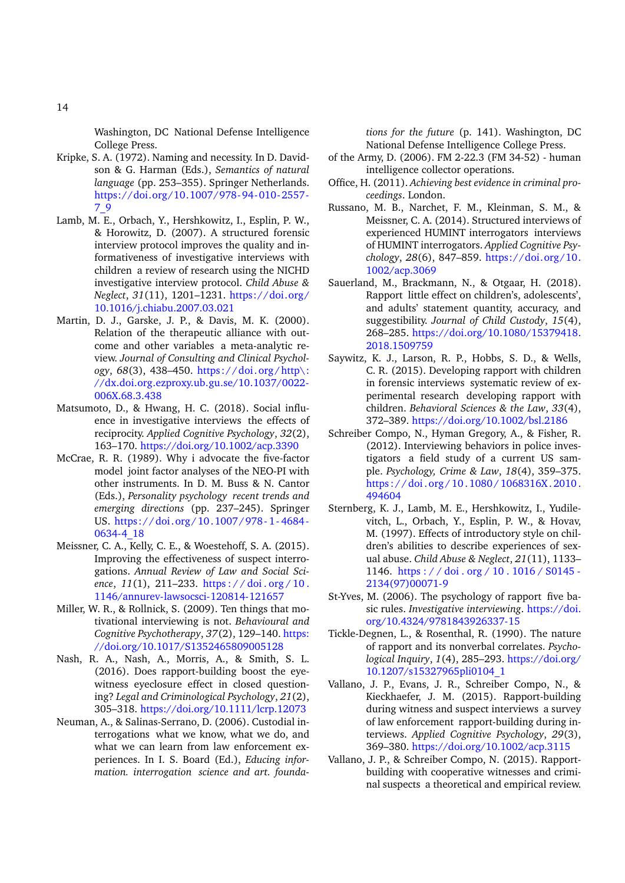Washington, DC National Defense Intelligence College Press.

- <span id="page-13-11"></span>Kripke, S. A. (1972). Naming and necessity. In D. Davidson & G. Harman (Eds.), *Semantics of natural language* (pp. 253–355). Springer Netherlands. [https://doi.org/10.1007/978-94-010-2557-](https://doi.org/10.1007/978-94-010-2557-7_9) [7\\_9](https://doi.org/10.1007/978-94-010-2557-7_9)
- <span id="page-13-6"></span>Lamb, M. E., Orbach, Y., Hershkowitz, I., Esplin, P. W., & Horowitz, D. (2007). A structured forensic interview protocol improves the quality and informativeness of investigative interviews with children a review of research using the NICHD investigative interview protocol. *Child Abuse & Neglect*, *31*(11), 1201–1231. [https://doi.org/](https://doi.org/10.1016/j.chiabu.2007.03.021) [10.1016/j.chiabu.2007.03.021](https://doi.org/10.1016/j.chiabu.2007.03.021)
- <span id="page-13-13"></span>Martin, D. J., Garske, J. P., & Davis, M. K. (2000). Relation of the therapeutic alliance with outcome and other variables a meta-analytic review. *Journal of Consulting and Clinical Psychology*, *68*(3), 438–450. [https://doi.org/http\:](https://doi.org/http\://dx.doi.org.ezproxy.ub.gu.se/10.1037/0022-006X.68.3.438) [//dx.doi.org.ezproxy.ub.gu.se/10.1037/0022-](https://doi.org/http\://dx.doi.org.ezproxy.ub.gu.se/10.1037/0022-006X.68.3.438) [006X.68.3.438](https://doi.org/http\://dx.doi.org.ezproxy.ub.gu.se/10.1037/0022-006X.68.3.438)
- <span id="page-13-16"></span>Matsumoto, D., & Hwang, H. C. (2018). Social influence in investigative interviews the effects of reciprocity. *Applied Cognitive Psychology*, *32*(2), 163–170. <https://doi.org/10.1002/acp.3390>
- <span id="page-13-19"></span>McCrae, R. R. (1989). Why i advocate the five-factor model joint factor analyses of the NEO-PI with other instruments. In D. M. Buss & N. Cantor (Eds.), *Personality psychology recent trends and emerging directions* (pp. 237–245). Springer US. [https://doi.org/10.1007/978- 1- 4684-](https://doi.org/10.1007/978-1-4684-0634-4_18) [0634-4\\_18](https://doi.org/10.1007/978-1-4684-0634-4_18)
- <span id="page-13-18"></span>Meissner, C. A., Kelly, C. E., & Woestehoff, S. A. (2015). Improving the effectiveness of suspect interrogations. *Annual Review of Law and Social Science*, *11*(1), 211–233. [https : / / doi . org / 10 .](https://doi.org/10.1146/annurev-lawsocsci-120814-121657) [1146/annurev-lawsocsci-120814-121657](https://doi.org/10.1146/annurev-lawsocsci-120814-121657)
- <span id="page-13-12"></span>Miller, W. R., & Rollnick, S. (2009). Ten things that motivational interviewing is not. *Behavioural and Cognitive Psychotherapy*, *37*(2), 129–140. [https:](https://doi.org/10.1017/S1352465809005128) [//doi.org/10.1017/S1352465809005128](https://doi.org/10.1017/S1352465809005128)
- <span id="page-13-3"></span>Nash, R. A., Nash, A., Morris, A., & Smith, S. L. (2016). Does rapport-building boost the eyewitness eyeclosure effect in closed questioning? *Legal and Criminological Psychology*, *21*(2), 305–318. <https://doi.org/10.1111/lcrp.12073>
- <span id="page-13-15"></span>Neuman, A., & Salinas-Serrano, D. (2006). Custodial interrogations what we know, what we do, and what we can learn from law enforcement experiences. In I. S. Board (Ed.), *Educing information. interrogation science and art. founda-*

*tions for the future* (p. 141). Washington, DC National Defense Intelligence College Press.

- <span id="page-13-7"></span>of the Army, D. (2006). FM 2-22.3 (FM 34-52) - human intelligence collector operations.
- <span id="page-13-5"></span>Office, H. (2011). *Achieving best evidence in criminal proceedings*. London.
- <span id="page-13-17"></span>Russano, M. B., Narchet, F. M., Kleinman, S. M., & Meissner, C. A. (2014). Structured interviews of experienced HUMINT interrogators interviews of HUMINT interrogators. *Applied Cognitive Psychology*, *28*(6), 847–859. [https://doi.org/10.](https://doi.org/10.1002/acp.3069) [1002/acp.3069](https://doi.org/10.1002/acp.3069)
- <span id="page-13-10"></span>Sauerland, M., Brackmann, N., & Otgaar, H. (2018). Rapport little effect on children's, adolescents', and adults' statement quantity, accuracy, and suggestibility. *Journal of Child Custody*, *15*(4), 268–285. [https://doi.org/10.1080/15379418.](https://doi.org/10.1080/15379418.2018.1509759) [2018.1509759](https://doi.org/10.1080/15379418.2018.1509759)
- <span id="page-13-9"></span>Saywitz, K. J., Larson, R. P., Hobbs, S. D., & Wells, C. R. (2015). Developing rapport with children in forensic interviews systematic review of experimental research developing rapport with children. *Behavioral Sciences & the Law*, *33*(4), 372–389. <https://doi.org/10.1002/bsl.2186>
- <span id="page-13-4"></span>Schreiber Compo, N., Hyman Gregory, A., & Fisher, R. (2012). Interviewing behaviors in police investigators a field study of a current US sample. *Psychology, Crime & Law*, *18*(4), 359–375. https://doi.org/10.1080/1068316X.2010. [494604](https://doi.org/10.1080/1068316X.2010.494604)
- <span id="page-13-2"></span>Sternberg, K. J., Lamb, M. E., Hershkowitz, I., Yudilevitch, L., Orbach, Y., Esplin, P. W., & Hovav, M. (1997). Effects of introductory style on children's abilities to describe experiences of sexual abuse. *Child Abuse & Neglect*, *21*(11), 1133– 1146. [https : / / doi . org / 10 . 1016 / S0145 -](https://doi.org/10.1016/S0145-2134(97)00071-9) [2134\(97\)00071-9](https://doi.org/10.1016/S0145-2134(97)00071-9)
- <span id="page-13-1"></span>St-Yves, M. (2006). The psychology of rapport five basic rules. *Investigative interviewing*. [https://doi.](https://doi.org/10.4324/9781843926337-15) [org/10.4324/9781843926337-15](https://doi.org/10.4324/9781843926337-15)
- <span id="page-13-14"></span>Tickle-Degnen, L., & Rosenthal, R. (1990). The nature of rapport and its nonverbal correlates. *Psychological Inquiry*, *1*(4), 285–293. [https://doi.org/](https://doi.org/10.1207/s15327965pli0104_1) [10.1207/s15327965pli0104\\_1](https://doi.org/10.1207/s15327965pli0104_1)
- <span id="page-13-8"></span>Vallano, J. P., Evans, J. R., Schreiber Compo, N., & Kieckhaefer, J. M. (2015). Rapport-building during witness and suspect interviews a survey of law enforcement rapport-building during interviews. *Applied Cognitive Psychology*, *29*(3), 369–380. <https://doi.org/10.1002/acp.3115>
- <span id="page-13-0"></span>Vallano, J. P., & Schreiber Compo, N. (2015). Rapportbuilding with cooperative witnesses and criminal suspects a theoretical and empirical review.